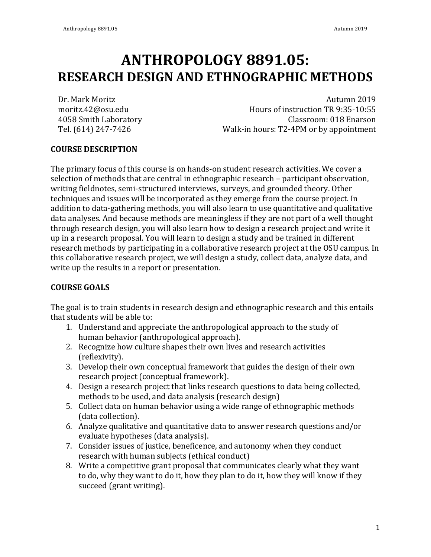# **ANTHROPOLOGY 8891.05: RESEARCH DESIGN AND ETHNOGRAPHIC METHODS**

Dr. Mark Moritz moritz.42@osu.edu 4058 Smith Laboratory Tel. (614) 247-7426

Autumn 2019 Hours of instruction TR 9:35-10:55 Classroom: 018 Enarson Walk-in hours: T2-4PM or by appointment

# **COURSE DESCRIPTION**

The primary focus of this course is on hands-on student research activities. We cover a selection of methods that are central in ethnographic research – participant observation, writing fieldnotes, semi-structured interviews, surveys, and grounded theory. Other techniques and issues will be incorporated as they emerge from the course project. In addition to data-gathering methods, you will also learn to use quantitative and qualitative data analyses. And because methods are meaningless if they are not part of a well thought through research design, you will also learn how to design a research project and write it up in a research proposal. You will learn to design a study and be trained in different research methods by participating in a collaborative research project at the OSU campus. In this collaborative research project, we will design a study, collect data, analyze data, and write up the results in a report or presentation.

# **COURSE GOALS**

The goal is to train students in research design and ethnographic research and this entails that students will be able to:

- 1. Understand and appreciate the anthropological approach to the study of human behavior (anthropological approach).
- 2. Recognize how culture shapes their own lives and research activities (reflexivity).
- 3. Develop their own conceptual framework that guides the design of their own research project (conceptual framework).
- 4. Design a research project that links research questions to data being collected, methods to be used, and data analysis (research design)
- 5. Collect data on human behavior using a wide range of ethnographic methods (data collection).
- 6. Analyze qualitative and quantitative data to answer research questions and/or evaluate hypotheses (data analysis).
- 7. Consider issues of justice, beneficence, and autonomy when they conduct research with human subjects (ethical conduct)
- 8. Write a competitive grant proposal that communicates clearly what they want to do, why they want to do it, how they plan to do it, how they will know if they succeed (grant writing).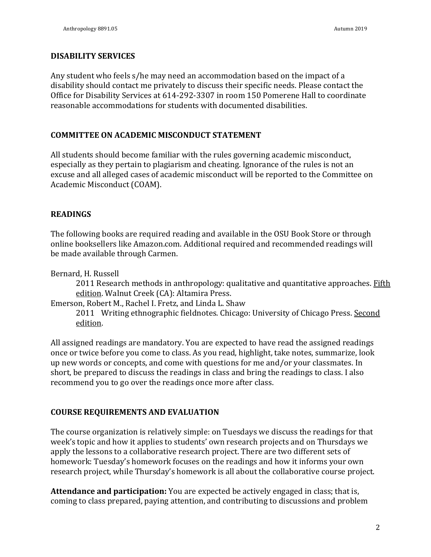#### **DISABILITY SERVICES**

Any student who feels s/he may need an accommodation based on the impact of a disability should contact me privately to discuss their specific needs. Please contact the Office for Disability Services at 614-292-3307 in room 150 Pomerene Hall to coordinate reasonable accommodations for students with documented disabilities.

### **COMMITTEE ON ACADEMIC MISCONDUCT STATEMENT**

All students should become familiar with the rules governing academic misconduct, especially as they pertain to plagiarism and cheating. Ignorance of the rules is not an excuse and all alleged cases of academic misconduct will be reported to the Committee on Academic Misconduct (COAM). 

## **READINGS**

The following books are required reading and available in the OSU Book Store or through online booksellers like Amazon.com. Additional required and recommended readings will be made available through Carmen.

Bernard, H. Russell

2011 Research methods in anthropology: qualitative and quantitative approaches. Fifth edition. Walnut Creek (CA): Altamira Press.

Emerson, Robert M., Rachel I. Fretz, and Linda L. Shaw

2011 Writing ethnographic fieldnotes. Chicago: University of Chicago Press. Second edition.

All assigned readings are mandatory. You are expected to have read the assigned readings once or twice before you come to class. As you read, highlight, take notes, summarize, look up new words or concepts, and come with questions for me and/or your classmates. In short, be prepared to discuss the readings in class and bring the readings to class. I also recommend you to go over the readings once more after class.

# **COURSE REQUIREMENTS AND EVALUATION**

The course organization is relatively simple: on Tuesdays we discuss the readings for that week's topic and how it applies to students' own research projects and on Thursdays we apply the lessons to a collaborative research project. There are two different sets of homework: Tuesday's homework focuses on the readings and how it informs your own research project, while Thursday's homework is all about the collaborative course project.

**Attendance and participation:** You are expected be actively engaged in class; that is, coming to class prepared, paying attention, and contributing to discussions and problem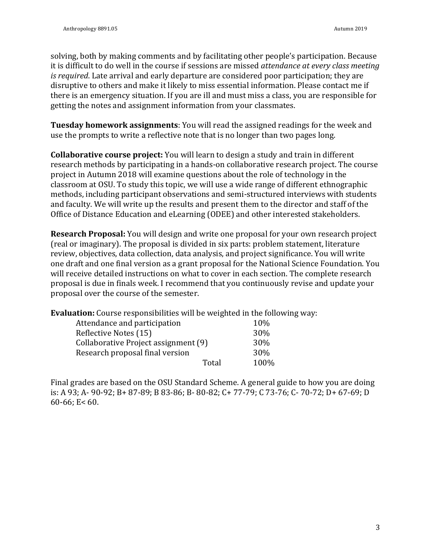solving, both by making comments and by facilitating other people's participation. Because it is difficult to do well in the course if sessions are missed *attendance at every class meeting is required*. Late arrival and early departure are considered poor participation; they are disruptive to others and make it likely to miss essential information. Please contact me if there is an emergency situation. If you are ill and must miss a class, you are responsible for getting the notes and assignment information from your classmates.

**Tuesday homework assignments**: You will read the assigned readings for the week and use the prompts to write a reflective note that is no longer than two pages long.

**Collaborative course project:** You will learn to design a study and train in different research methods by participating in a hands-on collaborative research project. The course project in Autumn 2018 will examine questions about the role of technology in the classroom at OSU. To study this topic, we will use a wide range of different ethnographic methods, including participant observations and semi-structured interviews with students and faculty. We will write up the results and present them to the director and staff of the Office of Distance Education and eLearning (ODEE) and other interested stakeholders.

**Research Proposal:** You will design and write one proposal for your own research project (real or imaginary). The proposal is divided in six parts: problem statement, literature review, objectives, data collection, data analysis, and project significance. You will write one draft and one final version as a grant proposal for the National Science Foundation. You will receive detailed instructions on what to cover in each section. The complete research proposal is due in finals week. I recommend that you continuously revise and update your proposal over the course of the semester.

**Evaluation:** Course responsibilities will be weighted in the following way:

| Attendance and participation         | 10%        |
|--------------------------------------|------------|
| Reflective Notes (15)                | 30%        |
| Collaborative Project assignment (9) | <b>30%</b> |
| Research proposal final version      | <b>30%</b> |
| Total                                | 100%       |

Final grades are based on the OSU Standard Scheme. A general guide to how you are doing is: A 93; A- 90-92; B+ 87-89; B 83-86; B- 80-82; C+ 77-79; C 73-76; C- 70-72; D+ 67-69; D 60-66;  $E < 60$ .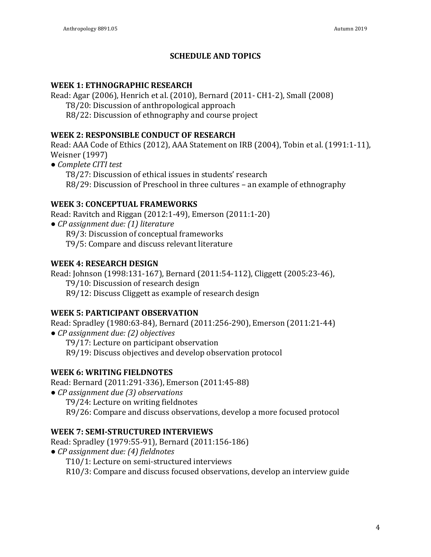# **SCHEDULE AND TOPICS**

## **WEEK 1: ETHNOGRAPHIC RESEARCH**

Read: Agar (2006), Henrich et al. (2010), Bernard (2011- CH1-2), Small (2008)

T8/20: Discussion of anthropological approach

R8/22: Discussion of ethnography and course project

# **WEEK 2: RESPONSIBLE CONDUCT OF RESEARCH**

Read: AAA Code of Ethics (2012), AAA Statement on IRB (2004), Tobin et al. (1991:1-11), **Weisner** (1997)

*● Complete CITI test* 

T8/27: Discussion of ethical issues in students' research R8/29: Discussion of Preschool in three cultures – an example of ethnography

# **WEEK 3: CONCEPTUAL FRAMEWORKS**

Read: Ravitch and Riggan (2012:1-49), Emerson (2011:1-20) *● CP assignment due: (1) literature* R9/3: Discussion of conceptual frameworks

T9/5: Compare and discuss relevant literature

# **WEEK 4: RESEARCH DESIGN**

Read: Johnson (1998:131-167), Bernard (2011:54-112), Cliggett (2005:23-46), T9/10: Discussion of research design R9/12: Discuss Cliggett as example of research design

# **WEEK 5: PARTICIPANT OBSERVATION**

Read: Spradley (1980:63-84), Bernard (2011:256-290), Emerson (2011:21-44)

*● CP assignment due: (2) objectives*

T9/17: Lecture on participant observation

R9/19: Discuss objectives and develop observation protocol

# WEEK 6: WRITING FIELDNOTES

Read: Bernard (2011:291-336), Emerson (2011:45-88)

*● CP assignment due (3) observations*

T9/24: Lecture on writing fieldnotes

R9/26: Compare and discuss observations, develop a more focused protocol

# **WEEK 7: SEMI-STRUCTURED INTERVIEWS**

Read: Spradley (1979:55-91), Bernard (2011:156-186) *● CP assignment due: (4) fieldnotes* T10/1: Lecture on semi-structured interviews R10/3: Compare and discuss focused observations, develop an interview guide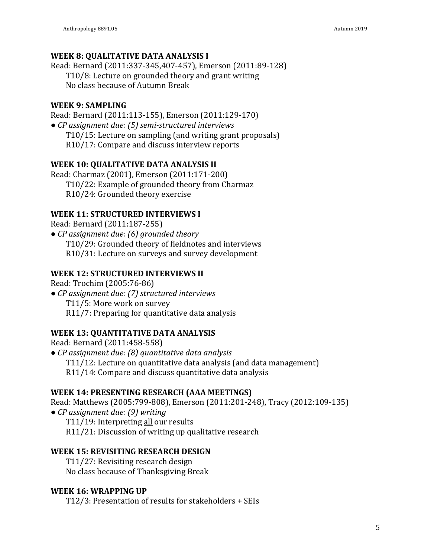## **WEEK 8: QUALITATIVE DATA ANALYSIS I**

Read: Bernard (2011:337-345,407-457), Emerson (2011:89-128) T10/8: Lecture on grounded theory and grant writing No class because of Autumn Break

## WEEK 9: SAMPLING

Read: Bernard (2011:113-155), Emerson (2011:129-170) ● *CP* assignment due: (5) semi-structured interviews T10/15: Lecture on sampling (and writing grant proposals) R10/17: Compare and discuss interview reports

#### **WEEK 10: QUALITATIVE DATA ANALYSIS II**

Read: Charmaz (2001), Emerson (2011:171-200) T10/22: Example of grounded theory from Charmaz R10/24: Grounded theory exercise

## **WEEK 11: STRUCTURED INTERVIEWS I**

Read: Bernard (2011:187-255)

● *CP* assignment due: (6) grounded theory T10/29: Grounded theory of fieldnotes and interviews R10/31: Lecture on surveys and survey development

## **WEEK 12: STRUCTURED INTERVIEWS II**

Read: Trochim (2005:76-86)

*● CP assignment due: (7) structured interviews* T11/5: More work on survey R11/7: Preparing for quantitative data analysis

# **WEEK 13: QUANTITATIVE DATA ANALYSIS**

Read: Bernard (2011:458-558)

*● CP assignment due: (8) quantitative data analysis* T11/12: Lecture on quantitative data analysis (and data management) R11/14: Compare and discuss quantitative data analysis

#### **WEEK 14: PRESENTING RESEARCH (AAA MEETINGS)**

Read: Matthews (2005:799-808), Emerson (2011:201-248), Tracy (2012:109-135) ● *CP* assignment due: (9) writing T11/19: Interpreting all our results R11/21: Discussion of writing up qualitative research

#### **WEEK 15: REVISITING RESEARCH DESIGN**

T11/27: Revisiting research design No class because of Thanksgiving Break

# WEEK 16: WRAPPING UP

 $T12/3$ : Presentation of results for stakeholders + SEIs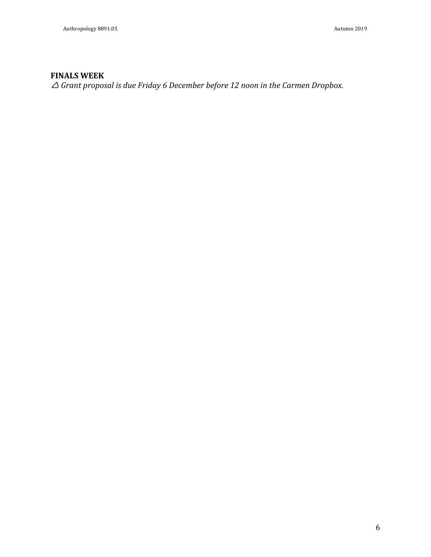# **FINALS WEEK**

 $\triangle$  *Grant proposal is due Friday 6 December before 12 noon in the Carmen Dropbox.*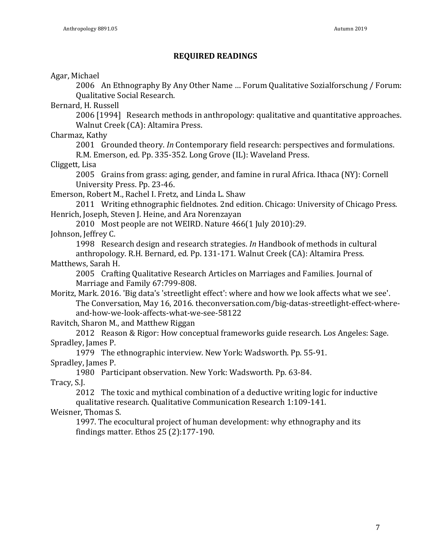#### **REQUIRED READINGS**

Agar, Michael

2006 An Ethnography By Any Other Name ... Forum Qualitative Sozialforschung / Forum: Qualitative Social Research.

Bernard, H. Russell

2006 [1994] Research methods in anthropology: qualitative and quantitative approaches. Walnut Creek (CA): Altamira Press.

Charmaz, Kathy

2001 Grounded theory. *In* Contemporary field research: perspectives and formulations. R.M. Emerson, ed. Pp. 335-352. Long Grove (IL): Waveland Press.

Cliggett, Lisa

2005 Grains from grass: aging, gender, and famine in rural Africa. Ithaca (NY): Cornell University Press. Pp. 23-46.

Emerson, Robert M., Rachel I. Fretz, and Linda L. Shaw

2011 Writing ethnographic fieldnotes. 2nd edition. Chicago: University of Chicago Press. Henrich, Joseph, Steven J. Heine, and Ara Norenzayan

2010 Most people are not WEIRD. Nature 466(1 July 2010):29.

Johnson, Jeffrey C.

1998 Research design and research strategies. *In* Handbook of methods in cultural

anthropology. R.H. Bernard, ed. Pp. 131-171. Walnut Creek (CA): Altamira Press. Matthews, Sarah H.

2005 Crafting Qualitative Research Articles on Marriages and Families. Journal of Marriage and Family 67:799-808.

Moritz, Mark. 2016. 'Big data's 'streetlight effect': where and how we look affects what we see'. The Conversation, May 16, 2016. theconversation.com/big-datas-streetlight-effect-whereand-how-we-look-affects-what-we-see-58122

Ravitch, Sharon M., and Matthew Riggan

2012 Reason & Rigor: How conceptual frameworks guide research. Los Angeles: Sage. Spradley, James P.

1979 The ethnographic interview. New York: Wadsworth. Pp. 55-91.

Spradley, James P.

1980 Participant observation. New York: Wadsworth. Pp. 63-84.

Tracy, S.J.

2012 The toxic and mythical combination of a deductive writing logic for inductive qualitative research. Qualitative Communication Research 1:109-141.

Weisner, Thomas S.

1997. The ecocultural project of human development: why ethnography and its findings matter. Ethos  $25(2)$ :177-190.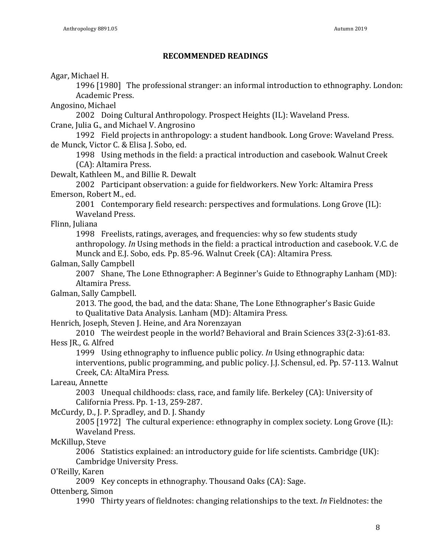#### **RECOMMENDED READINGS**

Agar, Michael H.

1996 [1980] The professional stranger: an informal introduction to ethnography. London: Academic Press.

Angosino, Michael

2002 Doing Cultural Anthropology. Prospect Heights (IL): Waveland Press. Crane, Julia G., and Michael V. Angrosino

1992 Field projects in anthropology: a student handbook. Long Grove: Waveland Press. de Munck, Victor C. & Elisa J. Sobo, ed.

1998 Using methods in the field: a practical introduction and casebook. Walnut Creek (CA): Altamira Press.

Dewalt, Kathleen M., and Billie R. Dewalt

2002 Participant observation: a guide for fieldworkers. New York: Altamira Press Emerson, Robert M., ed.

2001 Contemporary field research: perspectives and formulations. Long Grove (IL): Waveland Press.

Flinn, Juliana

1998 Freelists, ratings, averages, and frequencies: why so few students study anthropology. In Using methods in the field: a practical introduction and casebook. V.C. de Munck and E.J. Sobo, eds. Pp. 85-96. Walnut Creek (CA): Altamira Press.

#### Galman, Sally Campbell

2007 Shane, The Lone Ethnographer: A Beginner's Guide to Ethnography Lanham (MD): Altamira Press.

Galman, Sally Campbell.

2013. The good, the bad, and the data: Shane, The Lone Ethnographer's Basic Guide to Qualitative Data Analysis. Lanham (MD): Altamira Press.

Henrich, Joseph, Steven J. Heine, and Ara Norenzayan

2010 The weirdest people in the world? Behavioral and Brain Sciences 33(2-3):61-83. Hess JR., G. Alfred

1999 Using ethnography to influence public policy. *In* Using ethnographic data: interventions, public programming, and public policy. J.J. Schensul, ed. Pp. 57-113. Walnut Creek, CA: AltaMira Press.

#### Lareau, Annette

2003 Unequal childhoods: class, race, and family life. Berkeley (CA): University of California Press. Pp. 1-13, 259-287.

McCurdy, D., J. P. Spradley, and D. J. Shandy

 $2005$  [1972] The cultural experience: ethnography in complex society. Long Grove  $\text{[IL]}$ : Waveland Press.

#### McKillup, Steve

2006 Statistics explained: an introductory guide for life scientists. Cambridge (UK): Cambridge University Press.

O'Reilly, Karen

2009 Key concepts in ethnography. Thousand Oaks (CA): Sage.

#### Ottenberg, Simon

1990 Thirty years of fieldnotes: changing relationships to the text. *In* Fieldnotes: the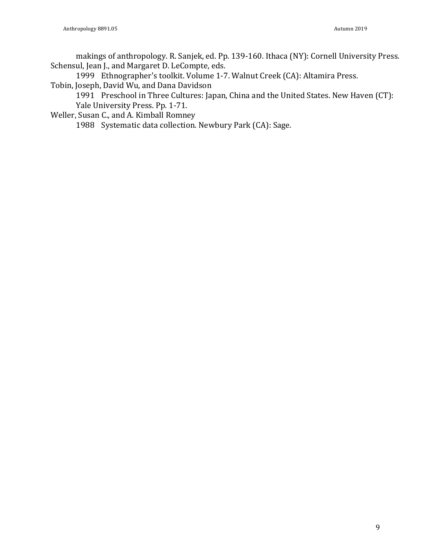makings of anthropology. R. Sanjek, ed. Pp. 139-160. Ithaca (NY): Cornell University Press. Schensul, Jean J., and Margaret D. LeCompte, eds.

1999 Ethnographer's toolkit. Volume 1-7. Walnut Creek (CA): Altamira Press. Tobin, Joseph, David Wu, and Dana Davidson

 $1991$  Preschool in Three Cultures: Japan, China and the United States. New Haven (CT): Yale University Press. Pp. 1-71.

Weller, Susan C., and A. Kimball Romney

1988 Systematic data collection. Newbury Park (CA): Sage.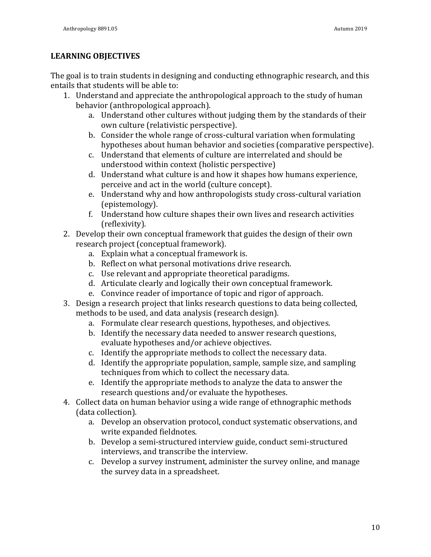#### **LEARNING OBJECTIVES**

The goal is to train students in designing and conducting ethnographic research, and this entails that students will be able to:

- 1. Understand and appreciate the anthropological approach to the study of human behavior (anthropological approach).
	- a. Understand other cultures without judging them by the standards of their own culture (relativistic perspective).
	- b. Consider the whole range of cross-cultural variation when formulating hypotheses about human behavior and societies (comparative perspective).
	- c. Understand that elements of culture are interrelated and should be understood within context (holistic perspective)
	- d. Understand what culture is and how it shapes how humans experience, perceive and act in the world (culture concept).
	- e. Understand why and how anthropologists study cross-cultural variation (epistemology).
	- f. Understand how culture shapes their own lives and research activities (reflexivity).
- 2. Develop their own conceptual framework that guides the design of their own research project (conceptual framework).
	- a. Explain what a conceptual framework is.
	- b. Reflect on what personal motivations drive research.
	- c. Use relevant and appropriate theoretical paradigms.
	- d. Articulate clearly and logically their own conceptual framework.
	- e. Convince reader of importance of topic and rigor of approach.
- 3. Design a research project that links research questions to data being collected, methods to be used, and data analysis (research design).
	- a. Formulate clear research questions, hypotheses, and objectives.
	- b. Identify the necessary data needed to answer research questions, evaluate hypotheses and/or achieve objectives.
	- c. Identify the appropriate methods to collect the necessary data.
	- d. Identify the appropriate population, sample, sample size, and sampling techniques from which to collect the necessary data.
	- e. Identify the appropriate methods to analyze the data to answer the research questions and/or evaluate the hypotheses.
- 4. Collect data on human behavior using a wide range of ethnographic methods (data collection).
	- a. Develop an observation protocol, conduct systematic observations, and write expanded fieldnotes.
	- b. Develop a semi-structured interview guide, conduct semi-structured interviews, and transcribe the interview.
	- c. Develop a survey instrument, administer the survey online, and manage the survey data in a spreadsheet.